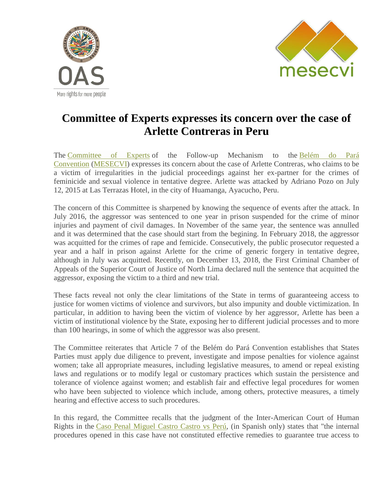



## **Committee of Experts expresses its concern over the case of Arlette Contreras in Peru**

The [Committee of Experts](http://www.oas.org/en/mesecvi/experts.asp) of the Follow-up Mechanism to the [Belém do Pará](http://www.oas.org/en/mesecvi/docs/BelemDoPara-ENGLISH.pdf)  [Convention](http://www.oas.org/en/mesecvi/docs/BelemDoPara-ENGLISH.pdf) [\(MESECVI\)](http://www.oas.org/en/mesecvi/about.asp) expresses its concern about the case of Arlette Contreras, who claims to be a victim of irregularities in the judicial proceedings against her ex-partner for the crimes of feminicide and sexual violence in tentative degree. Arlette was attacked by Adriano Pozo on July 12, 2015 at Las Terrazas Hotel, in the city of Huamanga, Ayacucho, Peru.

The concern of this Committee is sharpened by knowing the sequence of events after the attack. In July 2016, the aggressor was sentenced to one year in prison suspended for the crime of minor injuries and payment of civil damages. In November of the same year, the sentence was annulled and it was determined that the case should start from the begining. In February 2018, the aggressor was acquitted for the crimes of rape and femicide. Consecutively, the public prosecutor requested a year and a half in prison against Arlette for the crime of generic forgery in tentative degree, although in July was acquitted. Recently, on December 13, 2018, the First Criminal Chamber of Appeals of the Superior Court of Justice of North Lima declared null the sentence that acquitted the aggressor, exposing the victim to a third and new trial.

These facts reveal not only the clear limitations of the State in terms of guaranteeing access to justice for women victims of violence and survivors, but also impunity and double victimization. In particular, in addition to having been the victim of violence by her aggressor, Arlette has been a victim of institutional violence by the State, exposing her to different judicial processes and to more than 100 hearings, in some of which the aggressor was also present.

The Committee reiterates that Article 7 of the Belém do Pará Convention establishes that States Parties must apply due diligence to prevent, investigate and impose penalties for violence against women; take all appropriate measures, including legislative measures, to amend or repeal existing laws and regulations or to modify legal or customary practices which sustain the persistence and tolerance of violence against women; and establish fair and effective legal procedures for women who have been subjected to violence which include, among others, protective measures, a timely hearing and effective access to such procedures.

In this regard, the Committee recalls that the judgment of the Inter-American Court of Human Rights in the [Caso Penal Miguel Castro Castro vs Perú,](http://www.corteidh.or.cr/tablas/fichas/castrocastro.pdf) (in Spanish only) states that "the internal procedures opened in this case have not constituted effective remedies to guarantee true access to